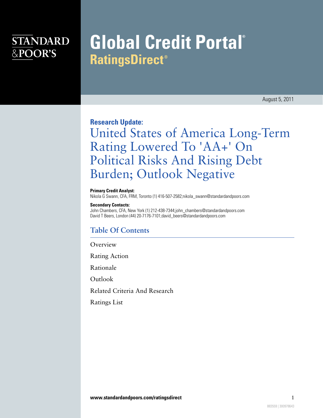### **STANDARD** &POOR'S

# **Global Credit Portal® RatingsDirect<sup>®</sup>**

August 5, 2011

### **Research Update:**

# United States of America Long-Term Rating Lowered To 'AA+' On Political Risks And Rising Debt Burden; Outlook Negative

#### **Primary Credit Analyst:**

Nikola G Swann, CFA, FRM, Toronto (1) 416-507-2582;nikola\_swann@standardandpoors.com

#### **Secondary Contacts:**

John Chambers, CFA, New York (1) 212-438-7344;john\_chambers@standardandpoors.com David T Beers, London (44) 20-7176-7101;david\_beers@standardandpoors.com

### **Table Of Contents**

[Overview](#page-1-0)

[Rating Action](#page-1-1)

[Rationale](#page-2-0)

[Outlook](#page-5-0)

[Related Criteria And Research](#page-5-1)

[Ratings List](#page-6-0)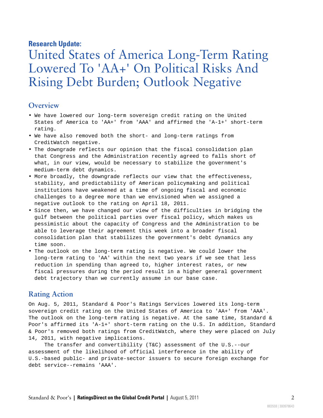### **Research Update:**

## United States of America Long-Term Rating Lowered To 'AA+' On Political Risks And Rising Debt Burden; Outlook Negative

### <span id="page-1-0"></span>**Overview**

- We have lowered our long-term sovereign credit rating on the United States of America to 'AA+' from 'AAA' and affirmed the 'A-1+' short-term rating.
- We have also removed both the short- and long-term ratings from CreditWatch negative.
- The downgrade reflects our opinion that the fiscal consolidation plan that Congress and the Administration recently agreed to falls short of what, in our view, would be necessary to stabilize the government's medium-term debt dynamics.
- More broadly, the downgrade reflects our view that the effectiveness, stability, and predictability of American policymaking and political institutions have weakened at a time of ongoing fiscal and economic challenges to a degree more than we envisioned when we assigned a negative outlook to the rating on April 18, 2011.
- Since then, we have changed our view of the difficulties in bridging the gulf between the political parties over fiscal policy, which makes us pessimistic about the capacity of Congress and the Administration to be able to leverage their agreement this week into a broader fiscal consolidation plan that stabilizes the government's debt dynamics any time soon.
- The outlook on the long-term rating is negative. We could lower the long-term rating to 'AA' within the next two years if we see that less reduction in spending than agreed to, higher interest rates, or new fiscal pressures during the period result in a higher general government debt trajectory than we currently assume in our base case.

#### <span id="page-1-1"></span>**Rating Action**

On Aug. 5, 2011, Standard & Poor's Ratings Services lowered its long-term sovereign credit rating on the United States of America to 'AA+' from 'AAA'. The outlook on the long-term rating is negative. At the same time, Standard & Poor's affirmed its 'A-1+' short-term rating on the U.S. In addition, Standard & Poor's removed both ratings from CreditWatch, where they were placed on July 14, 2011, with negative implications.

The transfer and convertibility (T&C) assessment of the U.S.--our assessment of the likelihood of official interference in the ability of U.S.-based public- and private-sector issuers to secure foreign exchange for debt service--remains 'AAA'.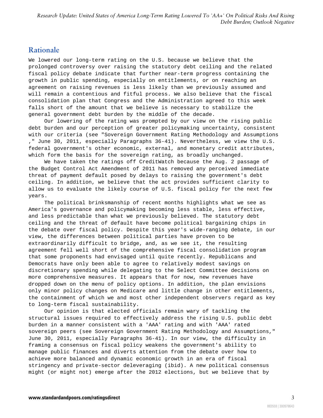### <span id="page-2-0"></span>**Rationale**

We lowered our long-term rating on the U.S. because we believe that the prolonged controversy over raising the statutory debt ceiling and the related fiscal policy debate indicate that further near-term progress containing the growth in public spending, especially on entitlements, or on reaching an agreement on raising revenues is less likely than we previously assumed and will remain a contentious and fitful process. We also believe that the fiscal consolidation plan that Congress and the Administration agreed to this week falls short of the amount that we believe is necessary to stabilize the general government debt burden by the middle of the decade.

Our lowering of the rating was prompted by our view on the rising public debt burden and our perception of greater policymaking uncertainty, consistent with our criteria (see "Sovereign Government Rating Methodology and Assumptions ," June 30, 2011, especially Paragraphs 36-41). Nevertheless, we view the U.S. federal government's other economic, external, and monetary credit attributes, which form the basis for the sovereign rating, as broadly unchanged.

We have taken the ratings off CreditWatch because the Aug. 2 passage of the Budget Control Act Amendment of 2011 has removed any perceived immediate threat of payment default posed by delays to raising the government's debt ceiling. In addition, we believe that the act provides sufficient clarity to allow us to evaluate the likely course of U.S. fiscal policy for the next few years.

The political brinksmanship of recent months highlights what we see as America's governance and policymaking becoming less stable, less effective, and less predictable than what we previously believed. The statutory debt ceiling and the threat of default have become political bargaining chips in the debate over fiscal policy. Despite this year's wide-ranging debate, in our view, the differences between political parties have proven to be extraordinarily difficult to bridge, and, as we see it, the resulting agreement fell well short of the comprehensive fiscal consolidation program that some proponents had envisaged until quite recently. Republicans and Democrats have only been able to agree to relatively modest savings on discretionary spending while delegating to the Select Committee decisions on more comprehensive measures. It appears that for now, new revenues have dropped down on the menu of policy options. In addition, the plan envisions only minor policy changes on Medicare and little change in other entitlements, the containment of which we and most other independent observers regard as key to long-term fiscal sustainability.

Our opinion is that elected officials remain wary of tackling the structural issues required to effectively address the rising U.S. public debt burden in a manner consistent with a 'AAA' rating and with 'AAA' rated sovereign peers (see Sovereign Government Rating Methodology and Assumptions," June 30, 2011, especially Paragraphs 36-41). In our view, the difficulty in framing a consensus on fiscal policy weakens the government's ability to manage public finances and diverts attention from the debate over how to achieve more balanced and dynamic economic growth in an era of fiscal stringency and private-sector deleveraging (ibid). A new political consensus might (or might not) emerge after the 2012 elections, but we believe that by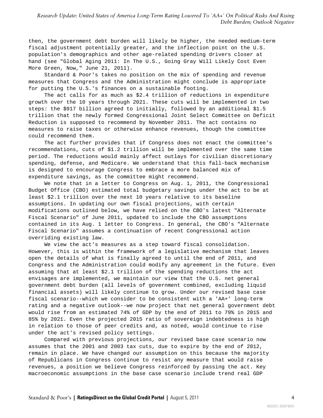then, the government debt burden will likely be higher, the needed medium-term fiscal adjustment potentially greater, and the inflection point on the U.S. population's demographics and other age-related spending drivers closer at hand (see "Global Aging 2011: In The U.S., Going Gray Will Likely Cost Even More Green, Now," June 21, 2011).

Standard & Poor's takes no position on the mix of spending and revenue measures that Congress and the Administration might conclude is appropriate for putting the U.S.'s finances on a sustainable footing.

The act calls for as much as \$2.4 trillion of reductions in expenditure growth over the 10 years through 2021. These cuts will be implemented in two steps: the \$917 billion agreed to initially, followed by an additional \$1.5 trillion that the newly formed Congressional Joint Select Committee on Deficit Reduction is supposed to recommend by November 2011. The act contains no measures to raise taxes or otherwise enhance revenues, though the committee could recommend them.

The act further provides that if Congress does not enact the committee's recommendations, cuts of \$1.2 trillion will be implemented over the same time period. The reductions would mainly affect outlays for civilian discretionary spending, defense, and Medicare. We understand that this fall-back mechanism is designed to encourage Congress to embrace a more balanced mix of expenditure savings, as the committee might recommend.

We note that in a letter to Congress on Aug. 1, 2011, the Congressional Budget Office (CBO) estimated total budgetary savings under the act to be at least \$2.1 trillion over the next 10 years relative to its baseline assumptions. In updating our own fiscal projections, with certain modifications outlined below, we have relied on the CBO's latest "Alternate Fiscal Scenario" of June 2011, updated to include the CBO assumptions contained in its Aug. 1 letter to Congress. In general, the CBO's "Alternate Fiscal Scenario" assumes a continuation of recent Congressional action overriding existing law.

We view the act's measures as a step toward fiscal consolidation. However, this is within the framework of a legislative mechanism that leaves open the details of what is finally agreed to until the end of 2011, and Congress and the Administration could modify any agreement in the future. Even assuming that at least \$2.1 trillion of the spending reductions the act envisages are implemented, we maintain our view that the U.S. net general government debt burden (all levels of government combined, excluding liquid financial assets) will likely continue to grow. Under our revised base case fiscal scenario--which we consider to be consistent with a 'AA+' long-term rating and a negative outlook--we now project that net general government debt would rise from an estimated 74% of GDP by the end of 2011 to 79% in 2015 and 85% by 2021. Even the projected 2015 ratio of sovereign indebtedness is high in relation to those of peer credits and, as noted, would continue to rise under the act's revised policy settings.

Compared with previous projections, our revised base case scenario now assumes that the 2001 and 2003 tax cuts, due to expire by the end of 2012, remain in place. We have changed our assumption on this because the majority of Republicans in Congress continue to resist any measure that would raise revenues, a position we believe Congress reinforced by passing the act. Key macroeconomic assumptions in the base case scenario include trend real GDP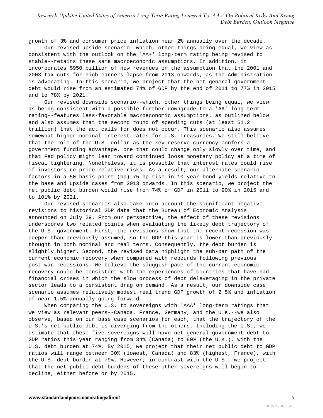*Research Update: United States of America Long-Term Rating Lowered To 'AA+' On Political Risks And Rising Debt Burden; Outlook Negative*

growth of 3% and consumer price inflation near 2% annually over the decade.

Our revised upside scenario--which, other things being equal, we view as consistent with the outlook on the 'AA+' long-term rating being revised to stable--retains these same macroeconomic assumptions. In addition, it incorporates \$950 billion of new revenues on the assumption that the 2001 and 2003 tax cuts for high earners lapse from 2013 onwards, as the Administration is advocating. In this scenario, we project that the net general government debt would rise from an estimated 74% of GDP by the end of 2011 to 77% in 2015 and to 78% by 2021.

Our revised downside scenario--which, other things being equal, we view as being consistent with a possible further downgrade to a 'AA' long-term rating--features less-favorable macroeconomic assumptions, as outlined below and also assumes that the second round of spending cuts (at least \$1.2 trillion) that the act calls for does not occur. This scenario also assumes somewhat higher nominal interest rates for U.S. Treasuries. We still believe that the role of the U.S. dollar as the key reserve currency confers a government funding advantage, one that could change only slowly over time, and that Fed policy might lean toward continued loose monetary policy at a time of fiscal tightening. Nonetheless, it is possible that interest rates could rise if investors re-price relative risks. As a result, our alternate scenario factors in a 50 basis point (bp)-75 bp rise in 10-year bond yields relative to the base and upside cases from 2013 onwards. In this scenario, we project the net public debt burden would rise from 74% of GDP in 2011 to 90% in 2015 and to 101% by 2021.

Our revised scenarios also take into account the significant negative revisions to historical GDP data that the Bureau of Economic Analysis announced on July 29. From our perspective, the effect of these revisions underscores two related points when evaluating the likely debt trajectory of the U.S. government. First, the revisions show that the recent recession was deeper than previously assumed, so the GDP this year is lower than previously thought in both nominal and real terms. Consequently, the debt burden is slightly higher. Second, the revised data highlight the sub-par path of the current economic recovery when compared with rebounds following previous post-war recessions. We believe the sluggish pace of the current economic recovery could be consistent with the experiences of countries that have had financial crises in which the slow process of debt deleveraging in the private sector leads to a persistent drag on demand. As a result, our downside case scenario assumes relatively modest real trend GDP growth of 2.5% and inflation of near 1.5% annually going forward.

When comparing the U.S. to sovereigns with 'AAA' long-term ratings that we view as relevant peers--Canada, France, Germany, and the U.K.--we also observe, based on our base case scenarios for each, that the trajectory of the U.S.'s net public debt is diverging from the others. Including the U.S., we estimate that these five sovereigns will have net general government debt to GDP ratios this year ranging from 34% (Canada) to 80% (the U.K.), with the U.S. debt burden at 74%. By 2015, we project that their net public debt to GDP ratios will range between 30% (lowest, Canada) and 83% (highest, France), with the U.S. debt burden at 79%. However, in contrast with the U.S., we project that the net public debt burdens of these other sovereigns will begin to decline, either before or by 2015.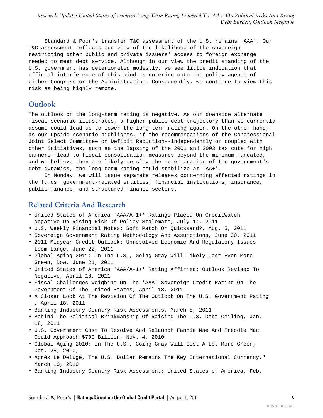Standard & Poor's transfer T&C assessment of the U.S. remains 'AAA'. Our T&C assessment reflects our view of the likelihood of the sovereign restricting other public and private issuers' access to foreign exchange needed to meet debt service. Although in our view the credit standing of the U.S. government has deteriorated modestly, we see little indication that official interference of this kind is entering onto the policy agenda of either Congress or the Administration. Consequently, we continue to view this risk as being highly remote.

### <span id="page-5-0"></span>**Outlook**

The outlook on the long-term rating is negative. As our downside alternate fiscal scenario illustrates, a higher public debt trajectory than we currently assume could lead us to lower the long-term rating again. On the other hand, as our upside scenario highlights, if the recommendations of the Congressional Joint Select Committee on Deficit Reduction--independently or coupled with other initiatives, such as the lapsing of the 2001 and 2003 tax cuts for high earners--lead to fiscal consolidation measures beyond the minimum mandated, and we believe they are likely to slow the deterioration of the government's debt dynamics, the long-term rating could stabilize at 'AA+'.

On Monday, we will issue separate releases concerning affected ratings in the funds, government-related entities, financial institutions, insurance, public finance, and structured finance sectors.

### <span id="page-5-1"></span>**Related Criteria And Research**

- United States of America 'AAA/A-1+' Ratings Placed On CreditWatch Negative On Rising Risk Of Policy Stalemate, July 14, 2011
- U.S. Weekly Financial Notes: Soft Patch Or Quicksand?, Aug. 5, 2011
- Sovereign Government Rating Methodology And Assumptions, June 30, 2011
- 2011 Midyear Credit Outlook: Unresolved Economic And Regulatory Issues Loom Large, June 22, 2011
- Global Aging 2011: In The U.S., Going Gray Will Likely Cost Even More Green, Now, June 21, 2011
- United States of America 'AAA/A-1+' Rating Affirmed; Outlook Revised To Negative, April 18, 2011
- Fiscal Challenges Weighing On The 'AAA' Sovereign Credit Rating On The Government Of The United States, April 18, 2011
- A Closer Look At The Revision Of The Outlook On The U.S. Government Rating , April 18, 2011
- Banking Industry Country Risk Assessments, March 8, 2011
- Behind The Political Brinkmanship Of Raising The U.S. Debt Ceiling, Jan. 18, 2011
- U.S. Government Cost To Resolve And Relaunch Fannie Mae And Freddie Mac Could Approach \$700 Billion, Nov. 4, 2010
- Global Aging 2010: In The U.S., Going Gray Will Cost A Lot More Green, Oct. 25, 2010,
- Après Le Déluge, The U.S. Dollar Remains The Key International Currency," March 10, 2010
- Banking Industry Country Risk Assessment: United States of America, Feb.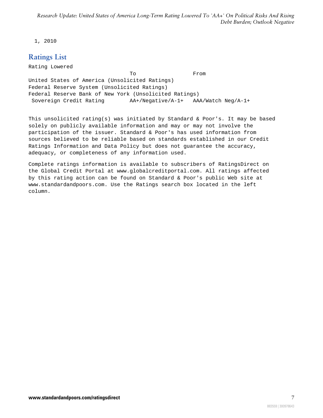<span id="page-6-0"></span>1, 2010

### **Ratings List**

Rating Lowered To From United States of America (Unsolicited Ratings) Federal Reserve System (Unsolicited Ratings) Federal Reserve Bank of New York (Unsolicited Ratings) Sovereign Credit Rating AA+/Negative/A-1+ AAA/Watch Neg/A-1+

This unsolicited rating(s) was initiated by Standard & Poor's. It may be based solely on publicly available information and may or may not involve the participation of the issuer. Standard & Poor's has used information from sources believed to be reliable based on standards established in our Credit Ratings Information and Data Policy but does not guarantee the accuracy, adequacy, or completeness of any information used.

Complete ratings information is available to subscribers of RatingsDirect on the Global Credit Portal at www.globalcreditportal.com. All ratings affected by this rating action can be found on Standard & Poor's public Web site at www.standardandpoors.com. Use the Ratings search box located in the left column.